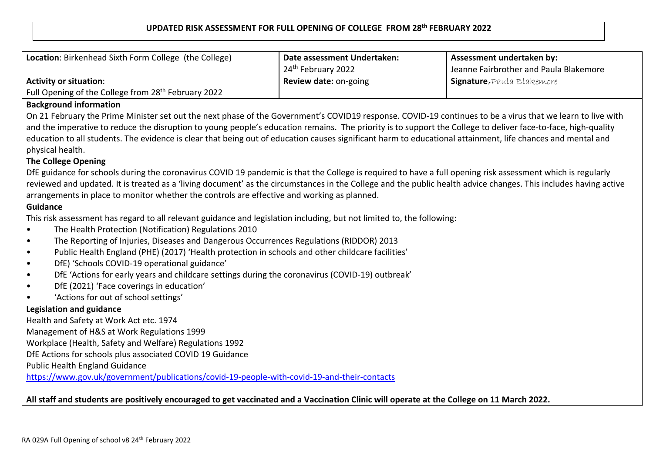## **UPDATED RISK ASSESSMENT FOR FULL OPENING OF COLLEGE FROM 28th FEBRUARY 2022**

| Location: Birkenhead Sixth Form College (the College)           | Date assessment Undertaken:    | Assessment undertaken by:              |
|-----------------------------------------------------------------|--------------------------------|----------------------------------------|
|                                                                 | 24 <sup>th</sup> February 2022 | Jeanne Fairbrother and Paula Blakemore |
| <b>Activity or situation:</b>                                   | <b>Review date: on-going</b>   | <b>Signature.</b> Paula Blakemore      |
| Full Opening of the College from 28 <sup>th</sup> February 2022 |                                |                                        |
| <b>Background information</b>                                   |                                |                                        |

**Background information**

On 21 February the Prime Minister set out the next phase of the Government's COVID19 response. COVID-19 continues to be a virus that we learn to live with and the imperative to reduce the disruption to young people's education remains. The priority is to support the College to deliver face-to-face, high-quality education to all students. The evidence is clear that being out of education causes significant harm to educational attainment, life chances and mental and physical health.

## **The College Opening**

DfE guidance for schools during the coronavirus COVID 19 pandemic is that the College is required to have a full opening risk assessment which is regularly reviewed and updated. It is treated as a 'living document' as the circumstances in the College and the public health advice changes. This includes having active arrangements in place to monitor whether the controls are effective and working as planned.

## **Guidance**

This risk assessment has regard to all relevant guidance and legislation including, but not limited to, the following:

- The Health Protection (Notification) Regulations 2010
- The Reporting of Injuries, Diseases and Dangerous Occurrences Regulations (RIDDOR) 2013
- Public Health England (PHE) (2017) 'Health protection in schools and other childcare facilities'
- DfE) 'Schools COVID-19 operational guidance'
- DfE 'Actions for early years and childcare settings during the coronavirus (COVID-19) outbreak'
- DfE (2021) 'Face coverings in education'
- 'Actions for out of school settings'

## **Legislation and guidance**

Health and Safety at Work Act etc. 1974 Management of H&S at Work Regulations 1999 Workplace (Health, Safety and Welfare) Regulations 1992 DfE Actions for schools plus associated COVID 19 Guidance Public Health England Guidance

<https://www.gov.uk/government/publications/covid-19-people-with-covid-19-and-their-contacts>

**All staff and students are positively encouraged to get vaccinated and a Vaccination Clinic will operate at the College on 11 March 2022.**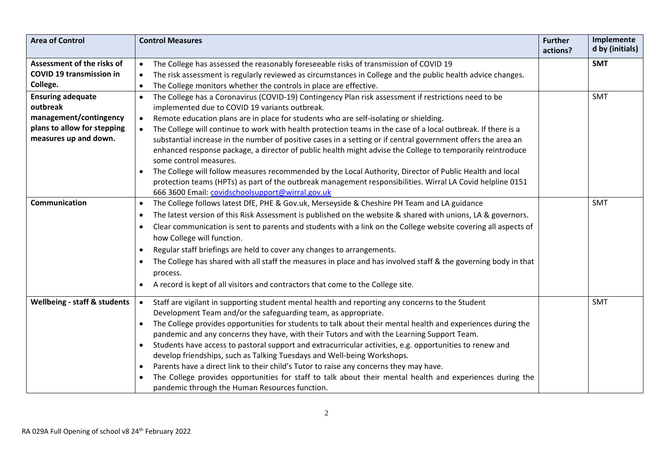| <b>Area of Control</b>                  | <b>Control Measures</b>                                                                                                     | <b>Further</b> | Implemente      |
|-----------------------------------------|-----------------------------------------------------------------------------------------------------------------------------|----------------|-----------------|
|                                         |                                                                                                                             | actions?       | d by (initials) |
| Assessment of the risks of              | The College has assessed the reasonably foreseeable risks of transmission of COVID 19                                       |                | <b>SMT</b>      |
| <b>COVID 19 transmission in</b>         | The risk assessment is regularly reviewed as circumstances in College and the public health advice changes.<br>$\bullet$    |                |                 |
| College.                                | The College monitors whether the controls in place are effective.                                                           |                |                 |
| <b>Ensuring adequate</b>                | The College has a Coronavirus (COVID-19) Contingency Plan risk assessment if restrictions need to be                        |                | <b>SMT</b>      |
| outbreak                                | implemented due to COVID 19 variants outbreak.                                                                              |                |                 |
| management/contingency                  | Remote education plans are in place for students who are self-isolating or shielding.<br>$\bullet$                          |                |                 |
| plans to allow for stepping             | The College will continue to work with health protection teams in the case of a local outbreak. If there is a               |                |                 |
| measures up and down.                   | substantial increase in the number of positive cases in a setting or if central government offers the area an               |                |                 |
|                                         | enhanced response package, a director of public health might advise the College to temporarily reintroduce                  |                |                 |
|                                         | some control measures.                                                                                                      |                |                 |
|                                         | The College will follow measures recommended by the Local Authority, Director of Public Health and local                    |                |                 |
|                                         | protection teams (HPTs) as part of the outbreak management responsibilities. Wirral LA Covid helpline 0151                  |                |                 |
|                                         | 666 3600 Email: covidschoolsupport@wirral.gov.uk                                                                            |                |                 |
| Communication                           | The College follows latest DfE, PHE & Gov.uk, Merseyside & Cheshire PH Team and LA guidance                                 |                | <b>SMT</b>      |
|                                         | The latest version of this Risk Assessment is published on the website & shared with unions, LA & governors.<br>$\bullet$   |                |                 |
|                                         | Clear communication is sent to parents and students with a link on the College website covering all aspects of<br>$\bullet$ |                |                 |
|                                         | how College will function.                                                                                                  |                |                 |
|                                         | Regular staff briefings are held to cover any changes to arrangements.                                                      |                |                 |
|                                         | The College has shared with all staff the measures in place and has involved staff & the governing body in that             |                |                 |
|                                         | process.                                                                                                                    |                |                 |
|                                         | A record is kept of all visitors and contractors that come to the College site.<br>$\bullet$                                |                |                 |
| <b>Wellbeing - staff &amp; students</b> | Staff are vigilant in supporting student mental health and reporting any concerns to the Student<br>$\bullet$               |                | <b>SMT</b>      |
|                                         | Development Team and/or the safeguarding team, as appropriate.                                                              |                |                 |
|                                         | The College provides opportunities for students to talk about their mental health and experiences during the<br>$\bullet$   |                |                 |
|                                         | pandemic and any concerns they have, with their Tutors and with the Learning Support Team.                                  |                |                 |
|                                         | Students have access to pastoral support and extracurricular activities, e.g. opportunities to renew and                    |                |                 |
|                                         | develop friendships, such as Talking Tuesdays and Well-being Workshops.                                                     |                |                 |
|                                         | Parents have a direct link to their child's Tutor to raise any concerns they may have.                                      |                |                 |
|                                         | The College provides opportunities for staff to talk about their mental health and experiences during the                   |                |                 |
|                                         | pandemic through the Human Resources function.                                                                              |                |                 |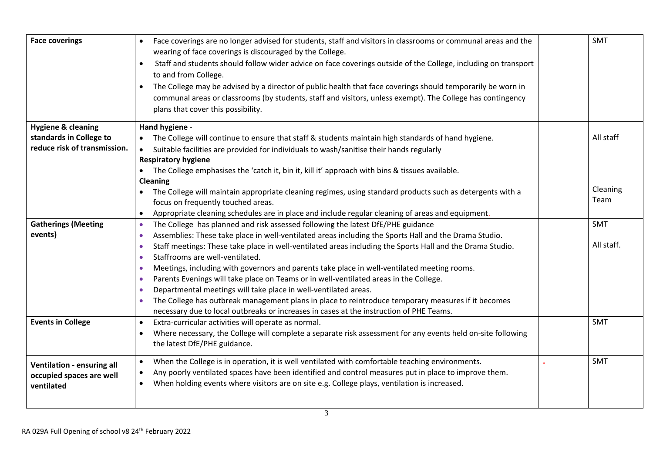| <b>Face coverings</b>         | Face coverings are no longer advised for students, staff and visitors in classrooms or communal areas and the<br>$\bullet$<br>wearing of face coverings is discouraged by the College.<br>Staff and students should follow wider advice on face coverings outside of the College, including on transport<br>to and from College.<br>The College may be advised by a director of public health that face coverings should temporarily be worn in<br>$\bullet$<br>communal areas or classrooms (by students, staff and visitors, unless exempt). The College has contingency<br>plans that cover this possibility. | <b>SMT</b> |
|-------------------------------|------------------------------------------------------------------------------------------------------------------------------------------------------------------------------------------------------------------------------------------------------------------------------------------------------------------------------------------------------------------------------------------------------------------------------------------------------------------------------------------------------------------------------------------------------------------------------------------------------------------|------------|
| <b>Hygiene &amp; cleaning</b> | Hand hygiene -                                                                                                                                                                                                                                                                                                                                                                                                                                                                                                                                                                                                   |            |
| standards in College to       | The College will continue to ensure that staff & students maintain high standards of hand hygiene.                                                                                                                                                                                                                                                                                                                                                                                                                                                                                                               | All staff  |
| reduce risk of transmission.  | Suitable facilities are provided for individuals to wash/sanitise their hands regularly                                                                                                                                                                                                                                                                                                                                                                                                                                                                                                                          |            |
|                               | <b>Respiratory hygiene</b>                                                                                                                                                                                                                                                                                                                                                                                                                                                                                                                                                                                       |            |
|                               | • The College emphasises the 'catch it, bin it, kill it' approach with bins & tissues available.                                                                                                                                                                                                                                                                                                                                                                                                                                                                                                                 |            |
|                               | <b>Cleaning</b>                                                                                                                                                                                                                                                                                                                                                                                                                                                                                                                                                                                                  |            |
|                               | The College will maintain appropriate cleaning regimes, using standard products such as detergents with a<br>$\bullet$                                                                                                                                                                                                                                                                                                                                                                                                                                                                                           | Cleaning   |
|                               | focus on frequently touched areas.                                                                                                                                                                                                                                                                                                                                                                                                                                                                                                                                                                               | Team       |
|                               | Appropriate cleaning schedules are in place and include regular cleaning of areas and equipment.                                                                                                                                                                                                                                                                                                                                                                                                                                                                                                                 |            |
| <b>Gatherings (Meeting</b>    | The College has planned and risk assessed following the latest DfE/PHE guidance<br>$\bullet$                                                                                                                                                                                                                                                                                                                                                                                                                                                                                                                     | <b>SMT</b> |
| events)                       | Assemblies: These take place in well-ventilated areas including the Sports Hall and the Drama Studio.                                                                                                                                                                                                                                                                                                                                                                                                                                                                                                            |            |
|                               | Staff meetings: These take place in well-ventilated areas including the Sports Hall and the Drama Studio.<br>$\bullet$                                                                                                                                                                                                                                                                                                                                                                                                                                                                                           | All staff. |
|                               | Staffrooms are well-ventilated.<br>$\bullet$                                                                                                                                                                                                                                                                                                                                                                                                                                                                                                                                                                     |            |
|                               | Meetings, including with governors and parents take place in well-ventilated meeting rooms.<br>$\bullet$                                                                                                                                                                                                                                                                                                                                                                                                                                                                                                         |            |
|                               | Parents Evenings will take place on Teams or in well-ventilated areas in the College.<br>$\bullet$                                                                                                                                                                                                                                                                                                                                                                                                                                                                                                               |            |
|                               | Departmental meetings will take place in well-ventilated areas.<br>$\bullet$                                                                                                                                                                                                                                                                                                                                                                                                                                                                                                                                     |            |
|                               | The College has outbreak management plans in place to reintroduce temporary measures if it becomes                                                                                                                                                                                                                                                                                                                                                                                                                                                                                                               |            |
|                               | necessary due to local outbreaks or increases in cases at the instruction of PHE Teams.                                                                                                                                                                                                                                                                                                                                                                                                                                                                                                                          |            |
| <b>Events in College</b>      | Extra-curricular activities will operate as normal.<br>$\bullet$                                                                                                                                                                                                                                                                                                                                                                                                                                                                                                                                                 | <b>SMT</b> |
|                               | Where necessary, the College will complete a separate risk assessment for any events held on-site following                                                                                                                                                                                                                                                                                                                                                                                                                                                                                                      |            |
|                               | the latest DfE/PHE guidance.                                                                                                                                                                                                                                                                                                                                                                                                                                                                                                                                                                                     |            |
| Ventilation - ensuring all    | When the College is in operation, it is well ventilated with comfortable teaching environments.<br>$\bullet$                                                                                                                                                                                                                                                                                                                                                                                                                                                                                                     | <b>SMT</b> |
| occupied spaces are well      | Any poorly ventilated spaces have been identified and control measures put in place to improve them.<br>$\bullet$                                                                                                                                                                                                                                                                                                                                                                                                                                                                                                |            |
| ventilated                    | When holding events where visitors are on site e.g. College plays, ventilation is increased.                                                                                                                                                                                                                                                                                                                                                                                                                                                                                                                     |            |
|                               |                                                                                                                                                                                                                                                                                                                                                                                                                                                                                                                                                                                                                  |            |
|                               |                                                                                                                                                                                                                                                                                                                                                                                                                                                                                                                                                                                                                  |            |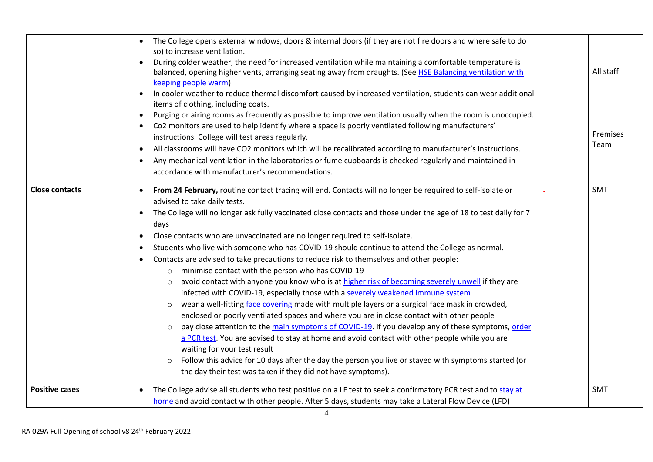|                       | The College opens external windows, doors & internal doors (if they are not fire doors and where safe to do<br>so) to increase ventilation.<br>During colder weather, the need for increased ventilation while maintaining a comfortable temperature is<br>balanced, opening higher vents, arranging seating away from draughts. (See HSE Balancing ventilation with<br>keeping people warm)<br>In cooler weather to reduce thermal discomfort caused by increased ventilation, students can wear additional                                                                                                                                                                                                                                                                                                                                                                                                                                                                                                                                                                                                                                                                                                                                                                                                                                                                                                                                                            | All staff        |
|-----------------------|-------------------------------------------------------------------------------------------------------------------------------------------------------------------------------------------------------------------------------------------------------------------------------------------------------------------------------------------------------------------------------------------------------------------------------------------------------------------------------------------------------------------------------------------------------------------------------------------------------------------------------------------------------------------------------------------------------------------------------------------------------------------------------------------------------------------------------------------------------------------------------------------------------------------------------------------------------------------------------------------------------------------------------------------------------------------------------------------------------------------------------------------------------------------------------------------------------------------------------------------------------------------------------------------------------------------------------------------------------------------------------------------------------------------------------------------------------------------------|------------------|
|                       | items of clothing, including coats.<br>Purging or airing rooms as frequently as possible to improve ventilation usually when the room is unoccupied.<br>$\bullet$<br>Co2 monitors are used to help identify where a space is poorly ventilated following manufacturers'<br>instructions. College will test areas regularly.<br>All classrooms will have CO2 monitors which will be recalibrated according to manufacturer's instructions.<br>$\bullet$<br>Any mechanical ventilation in the laboratories or fume cupboards is checked regularly and maintained in<br>accordance with manufacturer's recommendations.                                                                                                                                                                                                                                                                                                                                                                                                                                                                                                                                                                                                                                                                                                                                                                                                                                                    | Premises<br>Team |
| <b>Close contacts</b> | From 24 February, routine contact tracing will end. Contacts will no longer be required to self-isolate or<br>advised to take daily tests.<br>The College will no longer ask fully vaccinated close contacts and those under the age of 18 to test daily for 7<br>days<br>Close contacts who are unvaccinated are no longer required to self-isolate.<br>$\bullet$<br>Students who live with someone who has COVID-19 should continue to attend the College as normal.<br>Contacts are advised to take precautions to reduce risk to themselves and other people:<br>minimise contact with the person who has COVID-19<br>$\circ$<br>avoid contact with anyone you know who is at higher risk of becoming severely unwell if they are<br>$\circ$<br>infected with COVID-19, especially those with a severely weakened immune system<br>wear a well-fitting face covering made with multiple layers or a surgical face mask in crowded,<br>$\circ$<br>enclosed or poorly ventilated spaces and where you are in close contact with other people<br>pay close attention to the main symptoms of COVID-19. If you develop any of these symptoms, order<br>a PCR test. You are advised to stay at home and avoid contact with other people while you are<br>waiting for your test result<br>Follow this advice for 10 days after the day the person you live or stayed with symptoms started (or<br>$\circ$<br>the day their test was taken if they did not have symptoms). | <b>SMT</b>       |
| <b>Positive cases</b> | The College advise all students who test positive on a LF test to seek a confirmatory PCR test and to stay at<br>home and avoid contact with other people. After 5 days, students may take a Lateral Flow Device (LFD)                                                                                                                                                                                                                                                                                                                                                                                                                                                                                                                                                                                                                                                                                                                                                                                                                                                                                                                                                                                                                                                                                                                                                                                                                                                  | <b>SMT</b>       |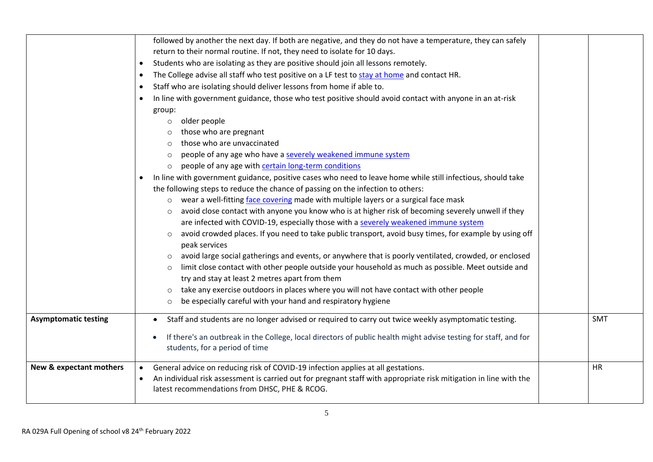|                             | followed by another the next day. If both are negative, and they do not have a temperature, they can safely<br>return to their normal routine. If not, they need to isolate for 10 days. |            |
|-----------------------------|------------------------------------------------------------------------------------------------------------------------------------------------------------------------------------------|------------|
|                             | Students who are isolating as they are positive should join all lessons remotely.<br>$\bullet$                                                                                           |            |
|                             | The College advise all staff who test positive on a LF test to stay at home and contact HR.                                                                                              |            |
|                             | $\bullet$<br>Staff who are isolating should deliver lessons from home if able to.                                                                                                        |            |
|                             |                                                                                                                                                                                          |            |
|                             | In line with government guidance, those who test positive should avoid contact with anyone in an at-risk                                                                                 |            |
|                             | group:                                                                                                                                                                                   |            |
|                             | older people<br>$\circ$                                                                                                                                                                  |            |
|                             | those who are pregnant<br>O<br>those who are unvaccinated                                                                                                                                |            |
|                             |                                                                                                                                                                                          |            |
|                             | people of any age who have a severely weakened immune system                                                                                                                             |            |
|                             | people of any age with certain long-term conditions<br>$\circ$                                                                                                                           |            |
|                             | In line with government guidance, positive cases who need to leave home while still infectious, should take                                                                              |            |
|                             | the following steps to reduce the chance of passing on the infection to others:                                                                                                          |            |
|                             | o wear a well-fitting face covering made with multiple layers or a surgical face mask                                                                                                    |            |
|                             | avoid close contact with anyone you know who is at higher risk of becoming severely unwell if they<br>$\circ$                                                                            |            |
|                             | are infected with COVID-19, especially those with a severely weakened immune system                                                                                                      |            |
|                             | avoid crowded places. If you need to take public transport, avoid busy times, for example by using off<br>$\circ$<br>peak services                                                       |            |
|                             | avoid large social gatherings and events, or anywhere that is poorly ventilated, crowded, or enclosed<br>$\circ$                                                                         |            |
|                             | limit close contact with other people outside your household as much as possible. Meet outside and<br>$\circ$                                                                            |            |
|                             | try and stay at least 2 metres apart from them                                                                                                                                           |            |
|                             | take any exercise outdoors in places where you will not have contact with other people<br>$\circ$                                                                                        |            |
|                             | be especially careful with your hand and respiratory hygiene<br>$\circ$                                                                                                                  |            |
|                             |                                                                                                                                                                                          |            |
| <b>Asymptomatic testing</b> | Staff and students are no longer advised or required to carry out twice weekly asymptomatic testing.                                                                                     | <b>SMT</b> |
|                             | If there's an outbreak in the College, local directors of public health might advise testing for staff, and for                                                                          |            |
|                             | students, for a period of time                                                                                                                                                           |            |
|                             |                                                                                                                                                                                          |            |
| New & expectant mothers     | General advice on reducing risk of COVID-19 infection applies at all gestations.<br>$\bullet$                                                                                            | <b>HR</b>  |
|                             | An individual risk assessment is carried out for pregnant staff with appropriate risk mitigation in line with the<br>$\bullet$                                                           |            |
|                             | latest recommendations from DHSC, PHE & RCOG.                                                                                                                                            |            |
|                             |                                                                                                                                                                                          |            |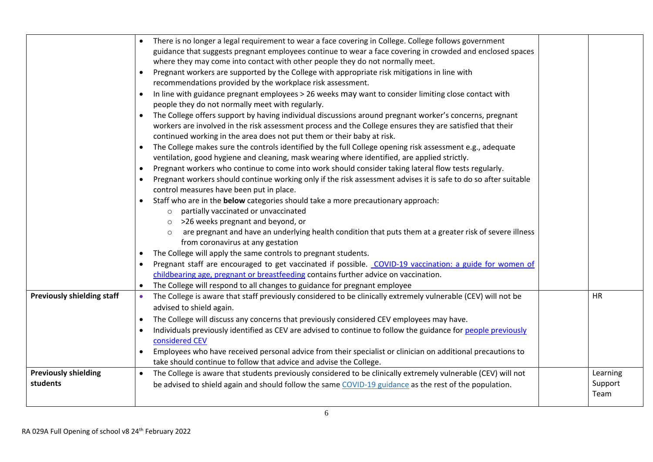| <b>Previously shielding staff</b>       | There is no longer a legal requirement to wear a face covering in College. College follows government<br>guidance that suggests pregnant employees continue to wear a face covering in crowded and enclosed spaces<br>where they may come into contact with other people they do not normally meet.<br>Pregnant workers are supported by the College with appropriate risk mitigations in line with<br>recommendations provided by the workplace risk assessment.<br>In line with guidance pregnant employees > 26 weeks may want to consider limiting close contact with<br>people they do not normally meet with regularly.<br>The College offers support by having individual discussions around pregnant worker's concerns, pregnant<br>workers are involved in the risk assessment process and the College ensures they are satisfied that their<br>continued working in the area does not put them or their baby at risk.<br>The College makes sure the controls identified by the full College opening risk assessment e.g., adequate<br>ventilation, good hygiene and cleaning, mask wearing where identified, are applied strictly.<br>Pregnant workers who continue to come into work should consider taking lateral flow tests regularly.<br>$\bullet$<br>Pregnant workers should continue working only if the risk assessment advises it is safe to do so after suitable<br>control measures have been put in place.<br>Staff who are in the below categories should take a more precautionary approach:<br>partially vaccinated or unvaccinated<br>$\circ$<br>$\circ$ >26 weeks pregnant and beyond, or<br>are pregnant and have an underlying health condition that puts them at a greater risk of severe illness<br>from coronavirus at any gestation<br>The College will apply the same controls to pregnant students.<br>Pregnant staff are encouraged to get vaccinated if possible. COVID-19 vaccination: a guide for women of<br>childbearing age, pregnant or breastfeeding contains further advice on vaccination.<br>The College will respond to all changes to guidance for pregnant employee<br>The College is aware that staff previously considered to be clinically extremely vulnerable (CEV) will not be<br>$\bullet$<br>advised to shield again. | <b>HR</b>                   |
|-----------------------------------------|---------------------------------------------------------------------------------------------------------------------------------------------------------------------------------------------------------------------------------------------------------------------------------------------------------------------------------------------------------------------------------------------------------------------------------------------------------------------------------------------------------------------------------------------------------------------------------------------------------------------------------------------------------------------------------------------------------------------------------------------------------------------------------------------------------------------------------------------------------------------------------------------------------------------------------------------------------------------------------------------------------------------------------------------------------------------------------------------------------------------------------------------------------------------------------------------------------------------------------------------------------------------------------------------------------------------------------------------------------------------------------------------------------------------------------------------------------------------------------------------------------------------------------------------------------------------------------------------------------------------------------------------------------------------------------------------------------------------------------------------------------------------------------------------------------------------------------------------------------------------------------------------------------------------------------------------------------------------------------------------------------------------------------------------------------------------------------------------------------------------------------------------------------------------------------------------------------------------------------------------------------------------------------|-----------------------------|
|                                         | The College will discuss any concerns that previously considered CEV employees may have.<br>$\bullet$<br>Individuals previously identified as CEV are advised to continue to follow the guidance for people previously                                                                                                                                                                                                                                                                                                                                                                                                                                                                                                                                                                                                                                                                                                                                                                                                                                                                                                                                                                                                                                                                                                                                                                                                                                                                                                                                                                                                                                                                                                                                                                                                                                                                                                                                                                                                                                                                                                                                                                                                                                                          |                             |
|                                         | considered CEV                                                                                                                                                                                                                                                                                                                                                                                                                                                                                                                                                                                                                                                                                                                                                                                                                                                                                                                                                                                                                                                                                                                                                                                                                                                                                                                                                                                                                                                                                                                                                                                                                                                                                                                                                                                                                                                                                                                                                                                                                                                                                                                                                                                                                                                                  |                             |
|                                         | Employees who have received personal advice from their specialist or clinician on additional precautions to<br>take should continue to follow that advice and advise the College.                                                                                                                                                                                                                                                                                                                                                                                                                                                                                                                                                                                                                                                                                                                                                                                                                                                                                                                                                                                                                                                                                                                                                                                                                                                                                                                                                                                                                                                                                                                                                                                                                                                                                                                                                                                                                                                                                                                                                                                                                                                                                               |                             |
| <b>Previously shielding</b><br>students | The College is aware that students previously considered to be clinically extremely vulnerable (CEV) will not<br>be advised to shield again and should follow the same COVID-19 guidance as the rest of the population.                                                                                                                                                                                                                                                                                                                                                                                                                                                                                                                                                                                                                                                                                                                                                                                                                                                                                                                                                                                                                                                                                                                                                                                                                                                                                                                                                                                                                                                                                                                                                                                                                                                                                                                                                                                                                                                                                                                                                                                                                                                         | Learning<br>Support<br>Team |